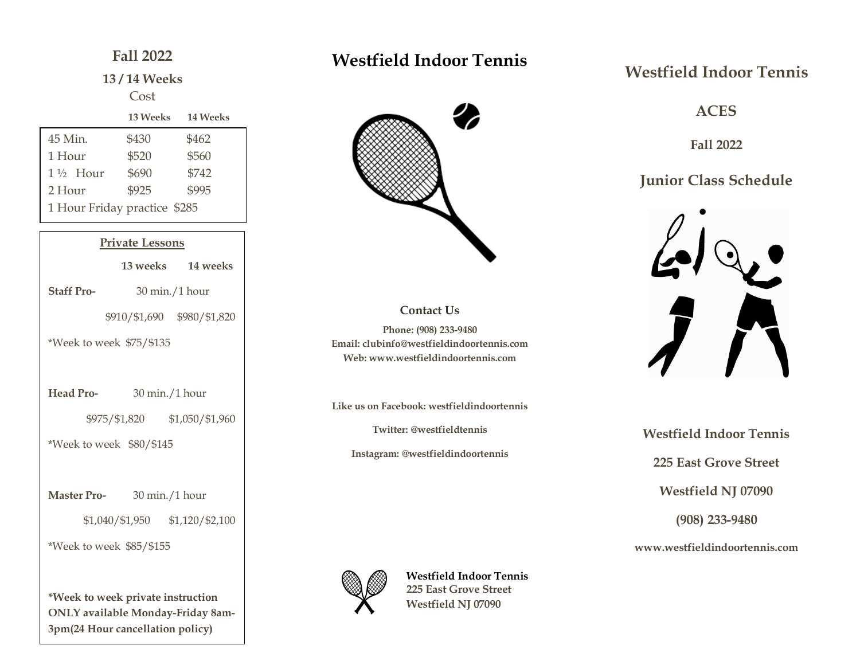## **Fall 2022**

### **13 / 14 Weeks**

### Cost

|                              | <b>13 Weeks</b> | <b>14 Weeks</b> |  |
|------------------------------|-----------------|-----------------|--|
| 45 Min.                      | \$430           | \$462           |  |
| 1 Hour                       | \$520           | \$560           |  |
| $1\frac{1}{2}$ Hour          | \$690           | \$742           |  |
| 2 Hour                       | \$925           | \$995           |  |
| 1 Hour Friday practice \$285 |                 |                 |  |
|                              |                 |                 |  |

## **Private Lessons**

֡֜֡

|                          |                                        | 13 weeks 14 weeks                       |  |
|--------------------------|----------------------------------------|-----------------------------------------|--|
| <b>Staff Pro-</b>        |                                        | $30 \,\mathrm{min.}/1 \,\mathrm{hour}$  |  |
|                          |                                        | \$910/\$1,690 \$980/\$1,820             |  |
| *Week to week \$75/\$135 |                                        |                                         |  |
|                          |                                        |                                         |  |
| Head Pro-                | $30 \,\mathrm{min.}/1 \,\mathrm{hour}$ |                                         |  |
|                          |                                        | \$975/\$1,820 \$1,050/\$1,960           |  |
| *Week to week \$80/\$145 |                                        |                                         |  |
|                          |                                        |                                         |  |
| <b>Master Pro-</b>       | $30 \text{ min.}/1 \text{ hour}$       |                                         |  |
|                          |                                        | $$1,040$ / $$1,950$ $$1,120$ / $$2,100$ |  |
| *Week to week \$85/\$155 |                                        |                                         |  |

**\*Week to week private instruction ONLY available Monday-Friday 8am-3pm(24 Hour cancellation policy)**

# **Westfield Indoor Tennis**



### **Contact Us Phone: (908) 233-9480 Email: clubinfo@westfieldindoortennis.com Web: www.westfieldindoortennis.com**

**Like us on Facebook: westfieldindoortennis**

**Twitter: @westfieldtennis**

**Instagram: @westfieldindoortennis**



**Westfield Indoor Tennis 225 East Grove Street Westfield NJ 07090**

# **Westfield Indoor Tennis**

**ACES**

**Fall 2022**

## **Junior Class Schedule**



**Westfield Indoor Tennis 225 East Grove Street Westfield NJ 07090 (908) 233-9480**

**www.westfieldindoortennis.com**